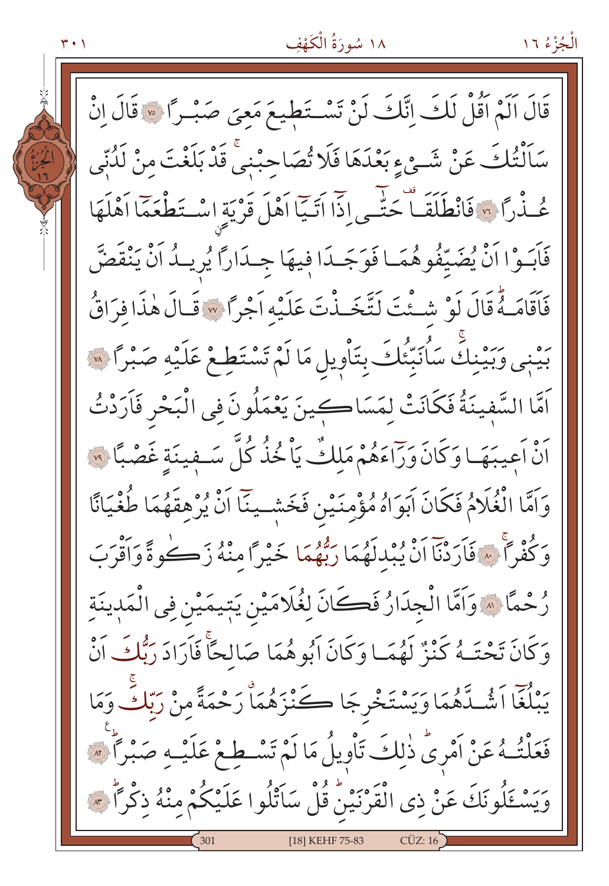# ١٨ سُورَةُ الْكَهْفِ

۰۱ م

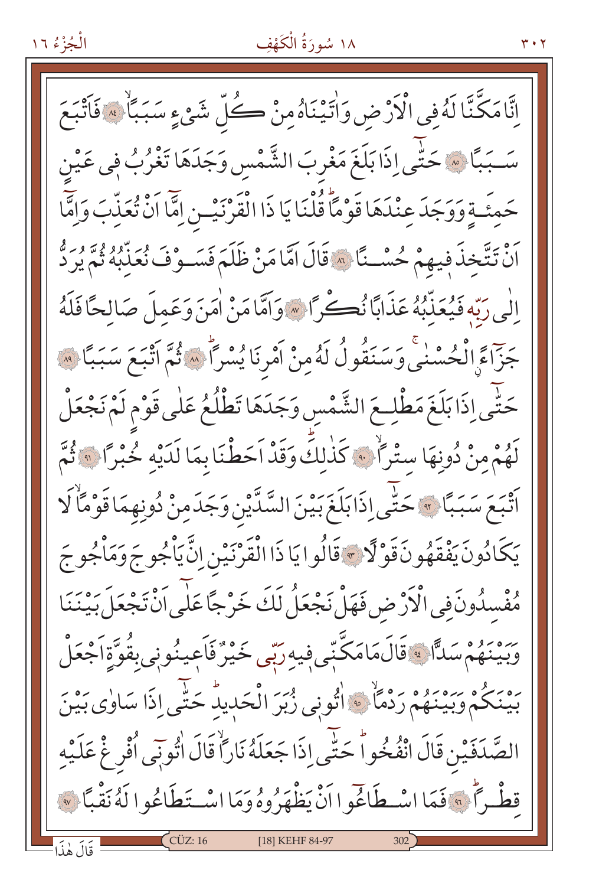#### ١٨ سُورَةُ الْكَهْفِ

اِنَّا مَكَّنَّا لَهُ في الْأَرْضِ وَاٰتَيْنَاهُ مِنْ كُلِّ شَيْءٍ سَبَبَاً ﴾ فَاَتْبَعَ سَـبَبَّا ۞ حَتَّى اِذَا بَلَغَ مَغْرِبَ الشَّمْسِ وَجَدَهَا تَغْرُبُ فِي عَيْنِ حَمِئَـةٍ وَوَجَدَعِنْدَهَا قَوْمًا قُلْنَا يَا ذَا الْقَرْنَيْـنِ إِمَّا اَنْ تُعَذِّبَ وَإِمَّا رَّةً بِيَّحْذَ فِيهِمْ حُسْـنًا ﴾ قَالَ امَّا مَنْ ظَلَمَ فَسَـوْفَ نُعَذَّبُهُ ثُمَّ يُرِدُّ إِلَٰى رَبَّهِ فَيُعَذِّبُهُ عَذَابًا نُڪْراً ۞ وَاَمَّا مَنْ اٰمَنَ وَعَمِلَ صَالِحًا فَلَهُ جَزّاءً الْحُسْنَى وَسَنَقُولُ لَهُ مِنْ أَمْرِنَا يُسْرَأُ سَهُ يُمَّ أَتْبَعَ سَبَبًا لَهَ ۚ حَتَّى إِذَا بَلَغَ مَطْلِعَ الشَّمْس وَجَدَهَا تَطْلُعُ عَلٰى قَوْمِ لَمْ نَجْعَلْ لَهُمْ مِنْ دُونِهَا سِتْرَاًّ . ۚ كَذٰلكَ وَقَدْ اَحَطْنَا بِمَا لَدَيْهِ خُبْرًا . ۚ ثُمَّ أَتْبَعَ سَبَبًا ﴾ حَتَّى إِذَابَلَغَ بَيْنَ السَّدِّينِ وَجَدَمِنْ دُونِهِمَا قَوْمًاْ لَا يَكَادُونَ يَفْقَهُونَ قَوْلًا \* قَالُوا يَا ذَا الْقَرْنَيْنِ اِنَّ يَأْجُو جَ وَمَأْجُو جَ مُفْسِدُونَ فِي الْأَرْضِ فَهَلْ نَجْعَلُ لَكَ خَرْجًا عَلٰى اَنْ تَجْعَلَ بَيْنَنَا *ۯ*ؚۦٛؠؘۄؙٛمْ سَدًّا ﴾ قَالَ مَامَكَّنِّي فِيهِ رَبِّي خَيْرٌ فَأَعِينُونِي بِقُوَّةِ أَجْعَلْ بِهِ بِكُمْ وَبَيْنَهُمْ رَدْمًا \* اتُّونِي زُبْرَ الْحَدِيدُ حَتَّى إِذَا سَاوٰى بَيْنَ الصَّدَفَيْنِ قَالَ انْفُخُواْ حَتَّى إِذَا جَعَلَهُ نَارًاْ قَالَ اٰتُونِي اُفْرِ غْ عَلَيْهِ قِطْهِ أَنَّ فَمَا اسْطَاغَوا أَنْ يَظْهَرُوهُ وَمَا اسْتَطَاعُوا لَهُ نَقْبًا ﴾  $\zeta$ CÜZ: 16 [18] KEHF 84-97 قَالَ هٰذَا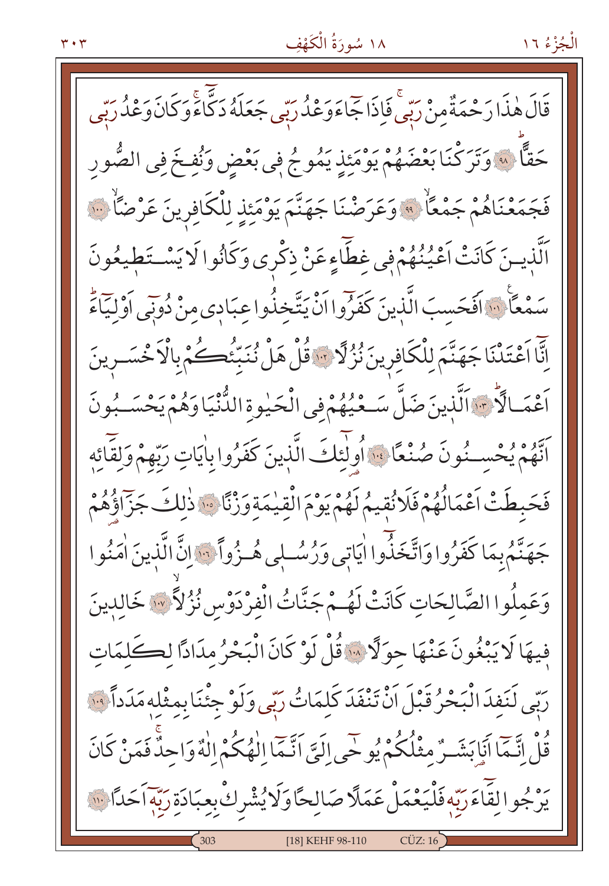#### ۳۰۳

# ١٨ سُورَةُ الْكَهْفِ

قَالَ هٰذَا رَحْمَةٌ مِنْ رَبِّي فَإِذَا جَمَاءَوَعْدُ رَبِّي جَعَلَهُ دَكَّاءًو كَانَ وَعْدُ رَبِّي حَقًّا ۞ وَتَرَكْنَا بَعْضَهُمْ يَوْمَئِذٍ يَمُوجُ فِي بَعْضٍ وَنُفِخَ فِي الصُّورِ فَجَمَعْنَاهُمْ جَمْعَاً ﴾ وَعَرَضْنَا جَهَنَّمَ يَوْمَئِذِ لِلْكَافِرِينَ عَرْضَاً … الَّذينَ كَانَتْ اَعْيُنُهُمْ في غطَّاءِ عَنْ ذِكْرِي وَكَانُوا لَا يَسْتَطِيعُونَ سَمْعًا ۚ ۚ وَالْحَسبَ الَّذِينَ كَفَرُوا الَّايَتَّخِذُوا عِبَادِي مِنْ دُونِي اَوْلِيَاءَ اِنَّا اَعْتَدْنَا جَهَنَّمَ لِلْكَافِرِينَ نُزُلَّا ۚ ۚ قُلْ هَلْ نُنَبِّئُكُمُ بِالْاَحْسَــرِينَ اَعْمَـالَّا -: اَلَّذينَ ضَلَّ سَـعْيُهُمْ فِي الْحَيْوةِ الدُّنْيَا وَهُمْ يَحْسَـبُونَ اَنَّهُمْ يُحْسِـنُونَ صُنْعًا ۚ وَ أَولَٰئِكَ الَّذِينَ كَفَرُوا بِاٰيَاتِ رَبِّهِمْ وَلِقَائِهِ فَحَبطَتْ اَعْمَالُهُمْ فَلَا نُقِيمُ لَهُمْ يَوْمَ الْقِيْمَةِ وَزْنًا ﴾ ذٰلِكَ جَزّاؤُهُمْ جَهَنَّمُ بِمَا كَفَرُوا وَاتَّخَذَّوا اٰيَاتِي وَرُسُلِي هُـزُواً ۚ وَالَّ الَّذِينَ اٰمَنُوا وَعَمِلُوا الصَّالِحَاتِ كَانَتْ لَهُـمْ جَنَّاتُ الْفِرْدَوْس نُزُّلاً \* خَالِدِينَ فِيهَا لَا يَبْغُونَ عَنْهَا حِوَلًا \* قُلْ لَوْ كَانَ الْبَحْرُ مِدَادًا لِكَلِمَاتِ رَبِّي لَنَفِدَ الْبَحْرُ قَبْلَ اَنْ تَنْفَدَ كَلِمَاتُ رَبِّي وَلَوْ جِئْنَا بِمِثْلِهِ مَدَداً ﴿ قُلْ إِنَّمَا أَيَابَشَـرٌ مِثْلُكُمْ يُوحَى إِلَيَّ أَنَّمَا الْهُكُمْ اللَّهُ وَاحِدٌّ فَمَنْ كَانَ ره و<br>يرْجُوالِقَاءَرَبِّهٖ فَلْيَعْمَلْ عَمَلًا صَالِحًاوَلَايُشْرِكْ بِعِبَادَةِ رَبِّهٖاَ حَدًا لِلَّهِ [18] KEHF 98-110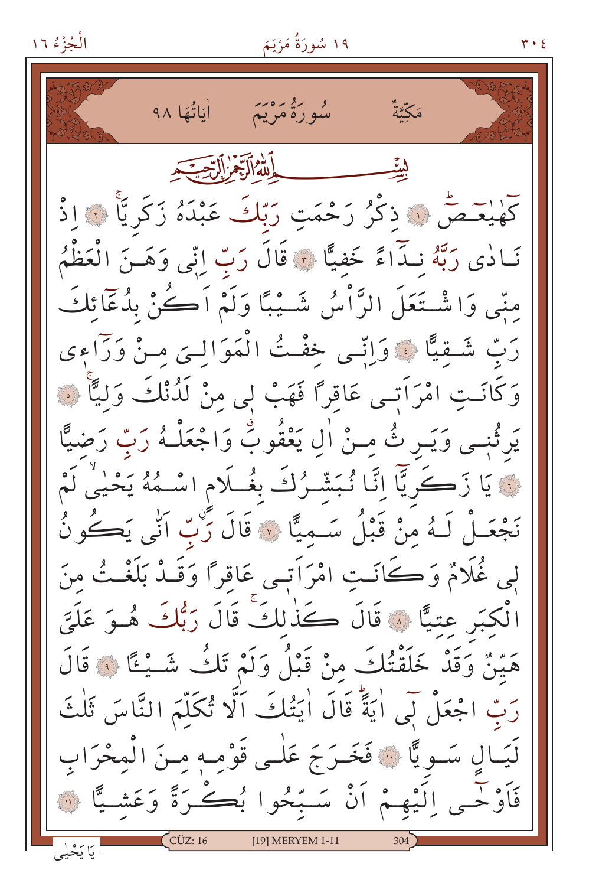اٰ یَاتُهَا ۹۸ و گروم دید.<br>سوره مریم مَكَّتَّةُ بِدِّيْتِهِ الْإِنْبِهِ فَلَا يَكْسِبَهِ كَهْيْعَـصّْ ۞ ذكْرُ رَحْمَتِ رَبّكَ عَبْدَهُ زَكَرِيًّا ۞ اذْ نَـادٰى رَبَّهُ نـدَاءً خَفيًّا ﴾ قَالَ رَبّ إِنِّي وَهَـنَ الْعَظْمُ مِنِّي وَاشْتَعَلَ الرَّاْسُ شَـيْبًا وَلَمْ اَكُنْ بِدُعَائِكَ رَبِّ شَقِيًّا ﴾ وَاتِّسى خِفْتُ الْمَوَالَّـيَ مِـنْ وَرَاءِي وَكَانَـتِ امْرَاَتِـي عَاقِرًا فَهَبْ لِي مِنْ لَذُنْكَ وَلِيًّا ۞ يَرثُنِـي وَيَـر ثُ مِـنْ اٰلِ يَعْقُوبُ وَاجْعَلْـهُ رَبِّ رَضيًّا نَّةَ يَا زَكَرِيَّا إِنَّا نُبَشَّرُكَ بِغُــلَامِ اسْــهُهُ يَحْيِيُّ لَمْ نَجْعَـلْ لَـهُ منْ قَبْلُ سَـميًّا ۞ قَالَ رَبِّ اَتّٰى يَكُونُ لِي غُلَامٌ وَكَانَتِ امْرَاَتِي عَاقِرًا وَقَـٰدْ بَلَغْــتُ مِنَ الْكِبَرِ عِتِيًّا ۚ وَقَالَ كَذَٰلِكَ قَالَ رَبُّكَ هُوَ عَلَيَّ هَيّنٌ وَقَدْ خَلَقْتُكَ منْ قَبْلُ وَلَمْ تَكُ شَــْـءًا فَ قَالَ رَبِّ اجْعَلْ لَي اٰ يَةً قَالَ اٰ يَتُكَ ۚ اَلَّا تُكَلَّمَ النَّاسَ ثَلْثَ لَّيَـالِ سَـوِيًّا ۞ فَخَـرَجَ عَلٰـى قَوْمِـهٖ مِـنَ الْمِحْرَابِ فَأَوْحَمِي اِلَيْهِمْ أَنْ سَبِّحُوا بُكَرَةً وَعَشِيًّا ۞ \_\_\_<br>یَا یَخْیٰی [19] MERYEM 1-11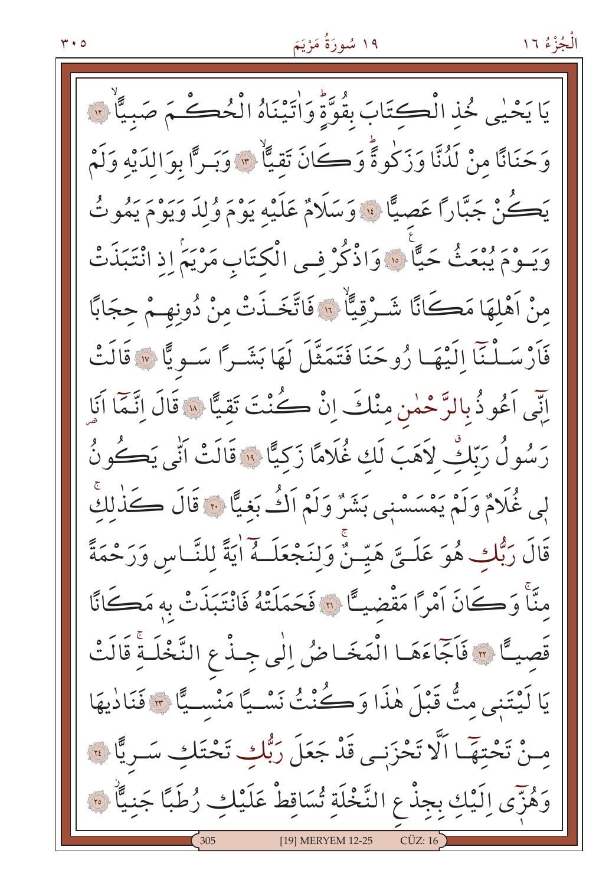ه ۲۰

الْجُزْءُ ١٦

يَا يَحْيٰي خُذِ الْكِتَابَ بِقُوَّةً وَاٰتَيْنَاهُ الْحُكْمَ صَبِيًّا ۚ ۞ وَحَنَانًا مِنْ لَدُنَّا وَزَكُوةً وَكَانَ تَقِيًّا \* وَبَرًّا بِوَالِدَيْهِ وَلَمْ يَڪُنْ جَبَّارًا عَصِيًّا ۚ وَسَلَامٌ عَلَيْهِ يَوْمَ وُلِدَ رَءٍ وَ يُمُوتُ وَيَــوْمَ يُبْعَثُ حَيًّا ۚ وَاذْكُرْ فِــى الْكِتَابِ مَرْيَمٍ إِذِ انْتَبَذَتْ منْ أَهْلَهَا مَكَانًا شَـرْقيًّا ۚ ۚ فَاتَّخَـذَتْ منْ دُونهِـمْ حجَابًا فَأَرْسَـلْنَآ الَّـْهَـا رُوحَنَا فَتَمَثَّلَ لَهَا بَشَـراً سَـوِيًّا ﴾ قَالَتْ اِنِّي اَعُو ذُبِالرَّحْمٰنِ مِنْكَ إِنْ كُنْتَ تَقِيًّا « قَالَ إِنَّمَا اَنَإِ رَسُولُ رَبِّكٌ لاَهَبَ لَك غُلَامًا زَكيًّا ۚ ۚ قَالَتْ اَنِّي يَكُونُ لِي غُلَامٌ وَلَمْ يَمْسَسْنِي بَشَرٌ وَلَمْ اَكُ بَغِيًّا ۞ قَالَ كَذٰلكَ قَالَ رَبُّكِ هُوَ عَلَــيَّ هَيّــنَّ وَلِنَجْعَلَــهُ اٰيَةً لِلنَّـاسِ وَرَحْمَةً منَّاْ وَكَانَ أَمْرًا مَقْضِيـًا ۞ فَحَمَلَتْهُ فَانْتَبَذَتْ بِه مَكَانًا قَصِيـًّا ۞ فَاَجَّاءَهَـا الْمَخَـاضُ إِلَٰى جِـذْعِ النَّخْلَـةِ قَالَتْ يَا لَيْتَنِي مِتُّ قَبْلَ هٰذَا وَكُنْتُ نَسْـيًا مَنْسـيًّا ٣ فَنَادٰيهَا مِنْ تَحْتِهَا اَلَّا تَحْزَنِي قَدْ جَعَلَ رَبُّكِ تَحْتَكِ سَرِيًّا لِهِ وَهُزَّى الَّيْكِ بِجِذْعِ النَّخْلَةِ تُسَاقِطْ عَلَيْكِ رُطَبًا جَنيًّا ۞ [19] MERYEM 12-25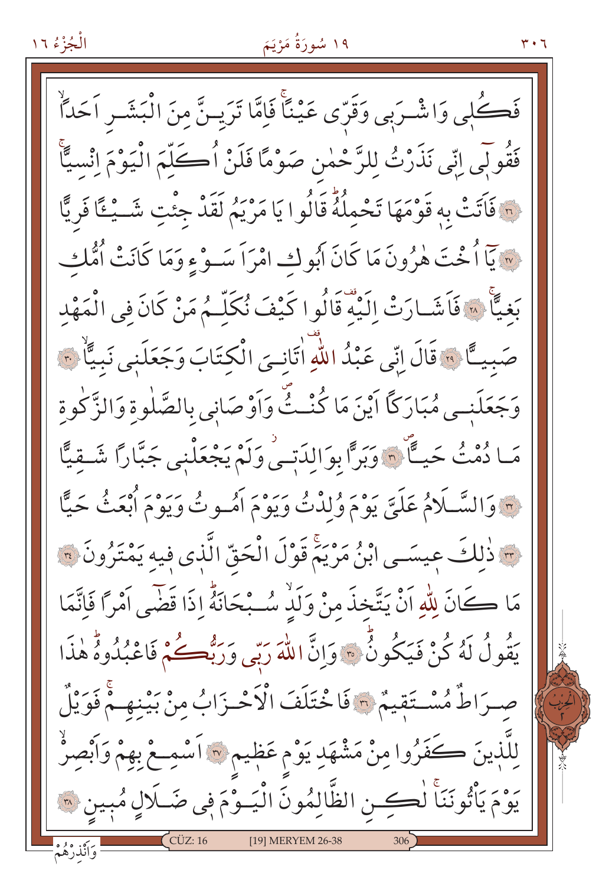#### ۱۹ سُورَةُ مَرْيَمَ

فَكُلٖى وَاشْرَبِي وَقَرِّي عَيْنًا فَإِمَّا تَرَيِـنَّ مِنَ الْبَشَـرِ اَحَلَّا فَقُولَبِي اِنِّي نَذَرْتُ لِلرَّحْمٰنِ صَوْمًا فَلَنْ أُكَلِّمَ الْيَوْمَ اِنْسِيًّا لِهِ فَاتَتْ بِهِ قَوْمَهَا تَحْمِلُهُ قَالُوا يَا مَرْيَمُ لَقَدْ جِئْتِ شَــْـئَّا فَرِيًّا لِهِ يَمَا أُخْتَ هٰرُونَ مَا كَانَ أَبُوكِ امْرَاً سَـوْءِ وَمَا كَانَتْ أُمُّك بَغيًّا ۚ « ۚ فَاَشَـارَتْ إِلَيْهَ قَالُوا كَيْفَ نُكَلُّـمُ مَنْ كَانَ فِي الْمَهْد صَبِيـًا ۚ " قَالَ إِنِّي عَبْدُ اللَّهِ اتَّانِيَ الْكِتَابَ وَجَعَلَنِي نَبِيًّا ۚ " وَجَعَلَنــى مُبَارَكًا أَيْنَ مَا كُنْــثٌّ وَأَوْصَانِي بالصَّلٰوةِ وَالزَّكٰوةِ مَـا دُمْثُ حَيًّا ۚ ٦ وَبَرًّا بِوَالِدَتِـيْ وَلَمْ يَجْعَلْنِي جَبَّارًا شَـقِيًّا فِ وَالسَّلَامُ عَلَيَّ يَوْمَ وُلِدْتُ وَيَوْمَ أُمُسُوتُ وَيَوْمَ أُبْعَثُ حَيًّا ۖ م ذلكَ عيسَــى ابنُ مَرْيَمٌ قَوْلَ الْحَقّ الَّذِي فيهِ يَمْتَرُونَ ؟ مَا كَانَ لِلَّهِ اَنْ يَتَّخِذَ مِنْ وَلَٰذٍ سُبْحَانَهُ إِذَا قَضَى اَمْرًا فَاتَّمَا يَقُولُ لَهُ كُنْ فَيَكُونُ \* وَإِنَّ اللَّهَ رَبِّي وَرَبُّهُكُمْ فَاعْبُدُوهُ هٰذَا صِرَاطٌ مُسْتَقِيمٌ ٣ فَاخْتَلَفَ الْأَحْزَابُ مِنْ بَيْنِهِمْ فَوَيْلٌ لِلَّذِينَ كَفَرُوا مِنْ مَشْهَدِ يَوْم عَظِيمٍ لِهَ أَسْمِعْ بِهِمْ وَأَبْصِرُ يوْمَ يَأْتُونَنَا لُكِين الظَّالِمُونَ الْيَـوْمَ فِي ضَـلَالٍ مُبِين ۞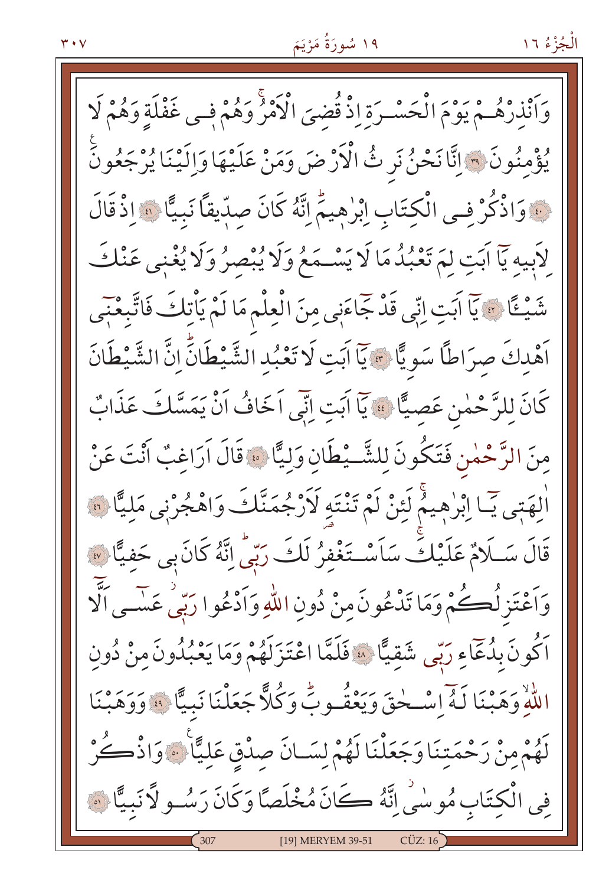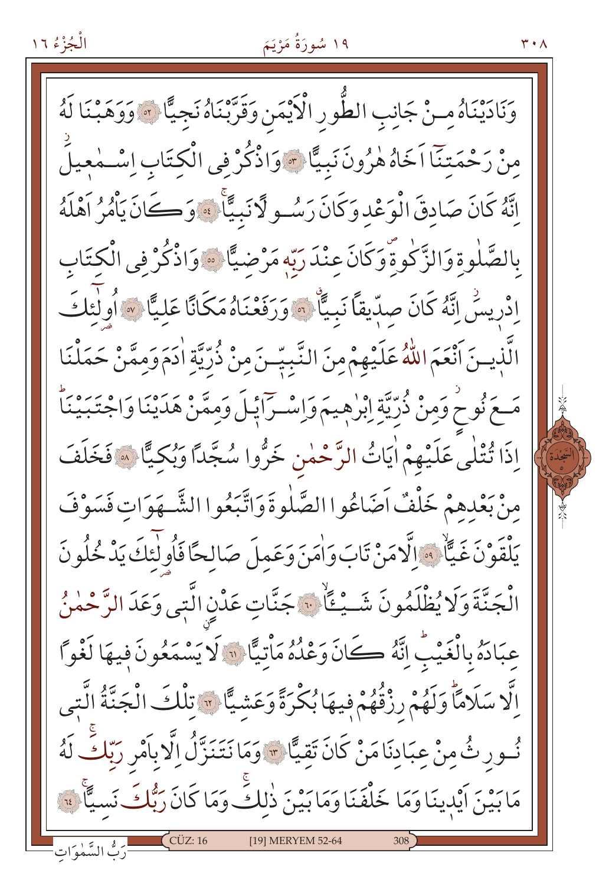وَنَادَيْنَاهُ مِنْ جَانِبِ الطُّورِ الْأَيْمَنِ وَقَرَّبْنَاهُ نَجِيًّا ۞ وَوَهَبْنَا لَهُ مِنْ رَحْمَتِنَآ اَخَاهُ هٰرُونَ نَبِيًّا ۞ وَاذْكُرْ فِي الْكِتَابِ اِسْــٰمٰعِيلَ اِنَّهُ كَانَ صَادِقَ الْوَعْدِ وَكَانَ رَسُو لَا نَبِيًّا ۚ ﴾ وَكَانَ يَأْمُرُ آهْلَهُ بالصَّلٰوةِ وَالزَّكٰوةِ وَكَانَ عِنْدَ رَبَّهِ مَرْضيًّا ۞ وَاذْكُرْ فِي الْكِتَابِ اِدْرِيسَٰ إِنَّهُ كَانَ صِدِّيقاً نَبِيَّاْ ۞ وَرَفَعْنَاهُ مَكَانًا عَليَّا ۞ أُولٰئكَ الَّذِينَ أَنْعَمَ اللَّهُ عَلَيْهِمْ مِنَ النَّبِيِّـنَ مِنْ ذُرِّيَّةِ اٰدَمَ وَمِمَّنْ حَمَلْنَا مَعَ نُوحٍ وَمِنْ ذُرِّيَّةٍ إِبْرٰهِيمَ وَإِسْـرَاَيْـلَ وَمِمَّنْ هَدَيْنَا وَاجْتَبَيْنَاً اِذَا تُتْلَى عَلَيْهِمْ اٰيَاتُ الرَّحْمٰنِ خَرُّوا سُجَّدًا وَبُكِيًّا ﴾ فَخَلَفَ منْ بَعْدهمْ خَلْفٌ اَضَاعُوا الصَّلٰوةَ وَاتَّبَعُوا الشَّـهَوَاتِ فَسَوْفَ يَلْقَوْنَ غَيَّا ۚ وَالَّامَنْ تَابَ وَاٰمَنَ وَعَمِلَ صَالِحًا فَاُولَٰئِكَ يَدْخُلُونَ الْجَنَّةَ وَلَا يُظْلَمُونَ شَــيْــَأَلْ: جَنَّاتِ عَدْنِ الَّتِي وَعَدَ الرَّحْمٰنُ عبَادَهُ بِالْغَيْبِ إِنَّهُ كَانَ وَعْدُهُ مَاْتِيًّا ۚ لَا يَسْمَعُونَ فِيهَا لَغْواً اِلَّا سَلَامًاۚ وَلَهُمْ رِزْقُهُمْ فِيهَا بُكْرَةً وَعَشِيًّا \* تِلْكَ الْجَنَّةُ الَّتِي نُسورِ ثُ مِنْ عِبَادِنَا مَنْ كَانَ تَقِيًّا \* وَمَا نَتَنَزَّلُ اِلَّا بِأَمْرِ رَبِّكَ لَهُ مَابَيْنَ اَيْدِينَا وَمَا خَلْفَنَا وَمَابَيْنَ ذٰلكٍّ وَمَا كَانَ رَبُّكَ نَسيًّا ۚ ۚ [19] MERYEM 52-64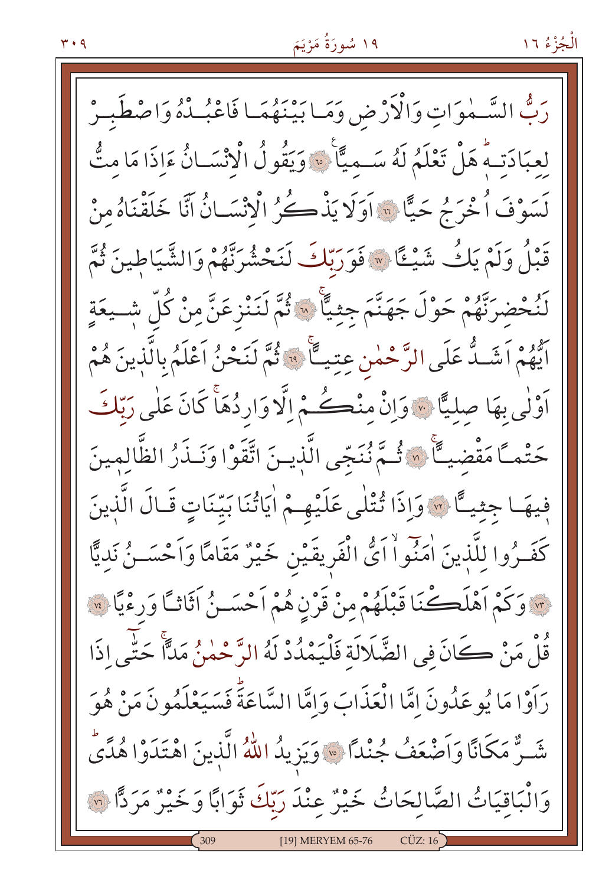رَبُّ السَّـمٰوَاتِ وَالْأَرْضِ وَمَـا بَيْنَهُمَـا فَاعْبُـدْهُ وَاصْطَبـرْ لعبَادَتهُ هَلْ تَعْلَمُ لَهُ سَبِيمَةً ۚ ۞ وَيَقُولُ الْانْسَـانُ ءَاذَا مَا مِتُّ لَسَوْفَ أُخْرَجُ حَيًّا \* آوَلَا يَذْكُرُ الْانْسَانُ آنَّا خَلَقْنَاهُ مِنْ قَبْلُ وَلَمْ يَكُ شَيْئًا \* فَوَرَبّكَ لَنَحْشُرِنَّهُمْ وَالشَّيَاطِينَ ثُمَّ لَنُحْضَرَنَّهُمْ حَوْلَ جَهَنَّمَ جِثِيًّا ۞ ثُمَّ لَنَنْزِعَنَّ مِنْ كُلِّ شِـيعَةٍ ايُّهُمْ اَشَـدُّ عَلَى الرَّحْمٰنِ عِتِيــًّا ۚ ۞ ثُمَّ لَنَحْنُ اَعْلَمُ بِالَّذِينَ هُمْ أَوْلَٰی بِهَا صِلِیًّا ﴾ وَإِنْ مِنْڪُمْ إِلَّا وَارِدُهَا كَانَ عَلٰی رَبّكَ حَتْمـًا مَقْضيــًا ۚ « ثُـمَّ نُنَجّى الَّذيـنَ اتَّقَوْا وَنَـذَرُ الظَّالِمِينَ فِيهَـا جِثيـًا ۞ وَإِذَا تُتْلَى عَلَيْهِـمْ اٰيَاتُنَا بَيّنَاتِ قَـالَ الَّذِينَ كَفَــرُوا لِلَّذِينَ اٰمَنُواْ اَئْ الْفَرِيقَيْنِ خَيْرٌ مَقَامًا وَاَحْسَــنُ نَدِيًّا \* وَكَمْ أَهْلَكْنَا قَبْلَهُمْ مِنْ قَرْنِ هُمْ أَحْسَـنُ أَثَاثًا وَرِءْيًا \* قُلْ مَنْ كَانَ فِي الضَّلَالَة فَلْيَمْدُدْ لَهُ الرَّحْمٰنُ مَدًّا حَتَّى اذَا رَاَوْا مَا يُوعَدُونَ إِمَّا الْعَذَابَ وَإِمَّا السَّاعَةَ فَسَيَعْلَمُو نَ مَنْ هُوَ شَـرٌّ مَكَانًا وَأَصْعَفُ جُنْدًا \* وَيَزِيدُ اللَّهُ الَّذِينَ اهْتَدَوْا هُدًى وَالْبَاقِيَاتُ الصَّالِحَاتُ خَيْرٌ عِنْدَ رَبّكَ ثَوَابًا وَخَيْرٌ مَرَدًّا ۞ [19] MERYEM 65-76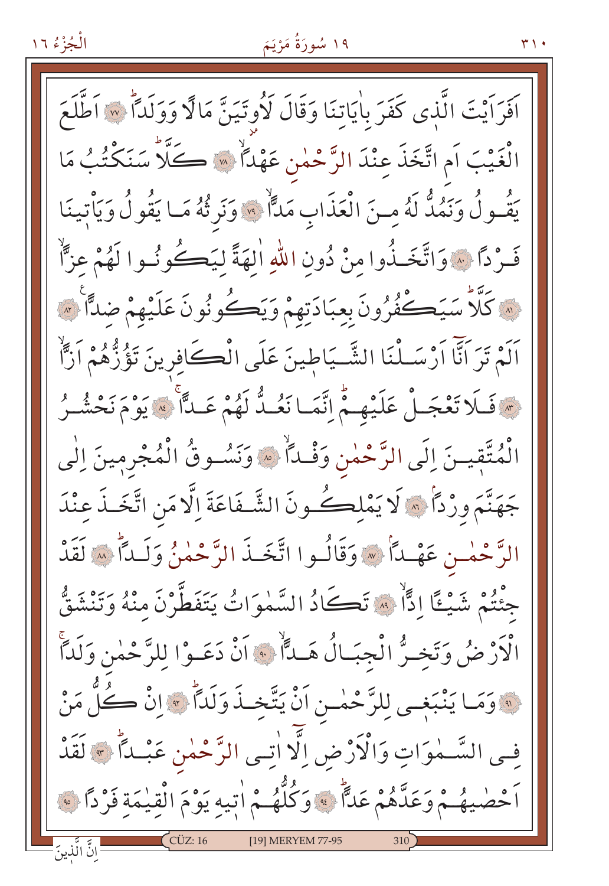### ۱۹ سُورَةُ مَرْيَمَ

اَفَرَاَيْتَ الَّذِي كَفَرَ بِاٰيَاتِنَا وَقَالَ لَأُوتَيَنَّ مَالًا وَوَلَدًا ۚ ۞ اَطَّلَعَ الْغَيْبَ اَمِ اتَّخَذَ عِنْدَ الرَّحْمٰنِ عَهْدًا ۚ ﴾ كَلَّا سَنَكْتُبُ مَا يَقُولُ وَنَمُدٌّ لَهُ مِنَ الْعَذَابِ مَدَّاً \* وَنَرِثُهُ مَا يَقُولُ وَيَأْتِينَا فَـرْدًا \* وَاتَّخَـذُوا منْ دُونِ اللهِ الهَةَ ليَكَـكُونُـوا لَهُمْ عزًّا لَهُ كَلَّا سَيَكْفُرُونَ بِعِبَادَتِهِمْ وَيَكْونُونَ عَلَيْهِمْ ضِدًّا لَهُ اَلَمْ تَرَ اَنَّا اَرْسَـلْنَا الشَّـيَاطِينَ عَلَى الْكَافِرِينَ تَؤُزُّهُمْ اَزَّاْ حِسَ فَلَا تَعْجَلْ عَلَيْهِمْ إِنَّمَا نَعُدُّ لَهُمْ عَلَّا لِهِ يَوْمَ نَحْشُرُ الْمُتَّقِيتَ إِلَى الرَّحْمٰنِ وَفْلاً ۚ ﴾ وَنَسُوقُ الْمُجْرِمِينَ إِلٰى جَهَنَّمَ وزْدًا ۞ لَا يَمْلِكُ ونَ الشَّـفَاعَةَ إِلَّا مَنِ اتَّخَـذَ عِنْدَ الرَّحْمٰـن عَهْـدَأْ \* وَقَالُـوا اتَّخَـذَ الرَّحْمٰنُ وَلَـداًّ \* لَقَدْ جِئْتُمْ شَيْئًا إِدًّا ۚ ۞ تَكَادُ السَّمٰوَاتُ يَتَفَطَّرْنَ مِنْهُ وَتَنْشَقُّ الْأَرْضُ وَتَخِيرُّ الْجِبَالُ هَــٰلًّا ۚ ﴾ إِنْ دَعَـوْا للرَّحْمٰنِ وَلَٰداً . وَمَا يَنْبَغِي لِلرَّحْمٰـنِ اَنْ يَتَّخِـذَ وَلَداً \* إِنْ كُلُّ مَنْ في السَّـمٰوَاتِ وَالْأَرْضِ اِلَّا اتِـي الرَّحْمٰنِ عَبْـداً ﴾ لَقَدْ أَحْصٰيهُمْ وَعَدَّهُمْ عَدًّا ﴾ وَكُلُّهُمْ اٰتِيهِ يَوْمَ الْقِيمَةِ فَرْدًا ﴾ انَّ الَّذينَ ِ [19] MERYEM 77-95

 $\mathsf{r} \setminus \cdot$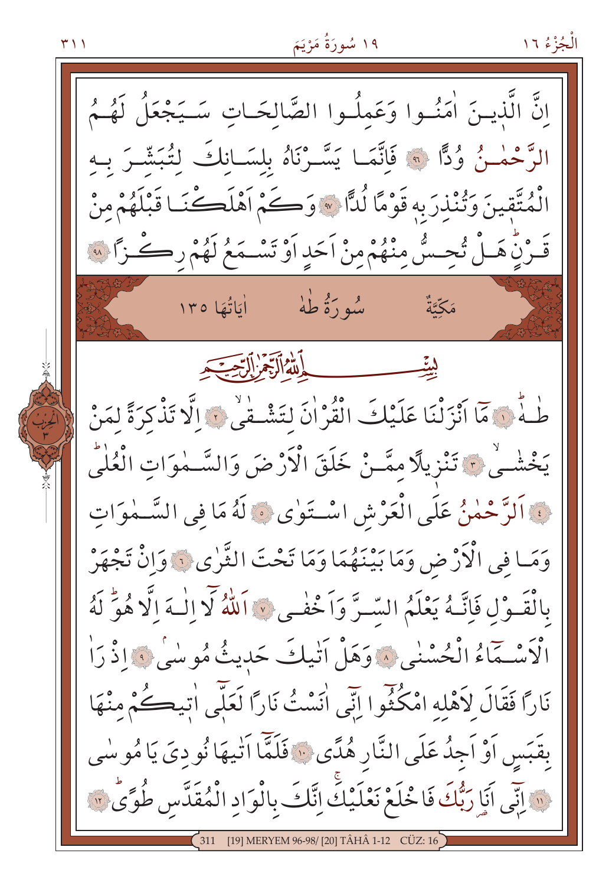۱۹ سُورَةُ مَرْيَمَ الْجُزْءُ ١٦ ۲۱۱ انَّ الَّذينَ اٰمَنُـوا وَعَملُـوا الصَّالحَـاتِ سَـيَجْعَلُ لَهُـمُ الرَّحْمٰـزُ وُدًّا ۞ فَاتَّمَـا يَسَّـرْنَاهُ بِلسَـانِكَ لِتُبَشَّـرَ بِـهِ الْمُتَّقِينَ وَتُنذرَ بِهِ قَوْمًا لُدًّا \* وَكُمْ أَهْلَكْنَـا قَبْلَهُمْ مِنْ قَدْنِ هَـلْ تُحِـسُّ مِنْهُمْ مِنْ اَحَدٍ اَوْ تَسْـمَعُ لَهُمْ رِكْـزًا لِهِ سُو دَهْ طَهْ أَبَاتُهَا ١٣٥ مَكَّةٌ أَلَّهُ ٱلْآَبِيمُ ٱلرَّبِي طُـهٌ ۞ مَا أَنْزَلْنَا عَلَيْكَ الْقُرْانَ لِتَشْـقْي ۞ الَّا تَذْكرَةً لِمَنْ يَخْشُى ۚ ۚ تَنْزِيلًا ممَّـنْ خَلَقَ الْأَرْضَ وَالسَّـمٰوَاتِ الْعُلْيُ لِ اَلرَّحْمٰنُ عَلَى الْعَرْشِ اسْتَوٰى ۞ لَهُ مَا فِي السَّـمٰوَاتِ وَمَا فِي الْأَرْضِ وَمَا بَيْنَهُمَا وَمَا تَحْتَ الثَّرٰى لَهُ وَإِنْ تَجْهَرْ بِالْقَـوْلِ فَإِنَّـهُ يَعْلَمُ السَّـرَّ وَاَخْفٰـى ﴾ اَللَّهُ لَا الْـهَ الَّا هُوَّ لَهُ الْأَسْبَهَاءُ الْحُسْنٰى ﴾ وَهَلْ أَنْيكَ حَدِيثُ مُوسٰىٰ ﴾ إِذْ رَاٰ نَارًا فَقَالَ لِأَهْلِهِ امْكُثُوا إِنِّي اٰنَسْتُ نَارًا لَعَلَّى اٰتِيكُمْ مِنْهَا بِقَبَسِ أَوْ أَجِدُ عَلَى النَّارِ هُدًى ۚ ۚ فَلَمَّا أَتْيِهَا نُودِيَ يَا مُوسٰى ﴿ إِنِّي أَنَا رَبُّكَ فَا خُلَعْ نَعْلَيْكَ إِنَّكَ بِالْوَادِ الْمُقَدَّسِ طُوَّى ۚ ﴾

[19] MERYEM 96-98/ [20] TÂHÂ 1-12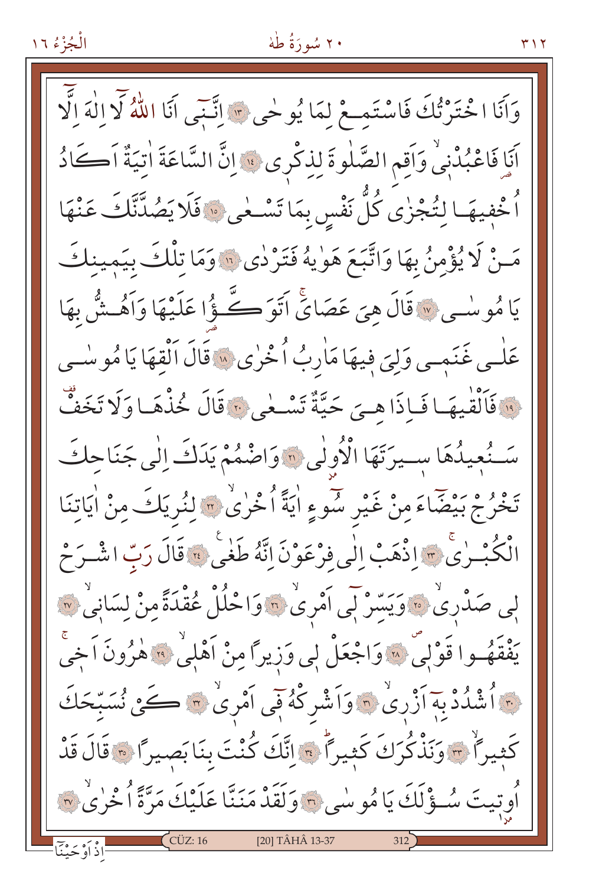# ۲۰ سُورَةُ طُهْ

وَأَنَا اخْتَرْتُكَ فَاسْتَمِعْ لِمَا يُوحٰى \* إِنَّنِي أَنَا اللَّهُ لَا إِلٰهَ إِلَّا اَنَا فَاعْبُدْنِي وَاَقِمِ الصَّلٰوةَ لِذِكْرِي ﴾ إِنَّ السَّاعَةَ اٰتِيَةٌ اَكَادُ اْ خْفِيهَـا لِتُجْزٰى كُلَّ نَفْسٍ بِمَا تَسْـعٰى ۞ فَلَا يَصُدَّنَّكَ عَنْهَا مَنْ لَا يُؤْمِنُ بِهَا وَاتَّبَعَ هَوٰيهُ فَتَرْدٰى ۚ إِلاَّ وَمَا تِلْكَ بِيَمِينكَ يَا مُوسْبِي «قَالَ هِيَ عَصَايَّ اَتَوَكَّوْا عَلَيْهَا وَاَهُتْشْ بِهَا عَلٰـى غَنَمٖـى وَلِيَ فِيهَا مَاٰرِبُ اُخْرٰى ۞ قَالَ اَلْقِهَا يَا مُو سٰـبِي فَأَلْقَٰيهَا فَبِإِذَا هِيَ حَيَّةٌ تَسْمَى بَهَ قَالَ خُذْهَبا وَلَا تَخَفُّ سَنُعِيدُهَا سِيرَتَهَا الْأُولٰى "وَاضْمُمْ يَدَكَ اِلٰى جَنَاحِكَ تَخْرُجْ بَيْضَاءَ مِنْ غَيْرِ سُوءٍ اٰيَةً اُخْرٰىٰ ۞ لِنُرِيَكَ مِنْ اٰيَاتِنَا الْكُبْـرٰيْ ﴾ اذْهَبْ الٰي فِرْعَوْنَ اِنَّهُ طَغْيَ ﴾ قَالَ رَبِّ اشْـرَحْ لِي صَدْرِيْ ۞ وَيَسِّرْ لَي اَمْرِيْ ۞ وَاحْلُلْ عُقْدَةً مِنْ لِسَانِيٌ ۞ يَفْقَهُــوا قَوْلِيّ ۞ وَاجْعَلْ لِي وَزِيرًا مِنْ أَهْلِيِّ ۞ هٰزُونَ أَخِيُّ نَّ أَشْدُدْ بِهِ أَزْرِيْ ۞ وَأَشْرِكْهُ فِي أَمْرِيٌ ۞ كَمِنْ نُسَبِّحَكَ كَثِيراً \* وَنَذْكُرَكَ كَثِيراً \* إِنَّكَ كُنْتَ بِنَا بَصِيراً \* قَالَ قَدْ أُوتِيتَ سُـؤْلَكَ يَا مُوسٰى ٢ وَلَقَدْ مَنَنَّا عَلَيْكَ مَرَّةً أُخْرٰى ٣ CÜZ: 16 [20] TÂHÂ 13-37 اِذْ اَوْحَيْنَاً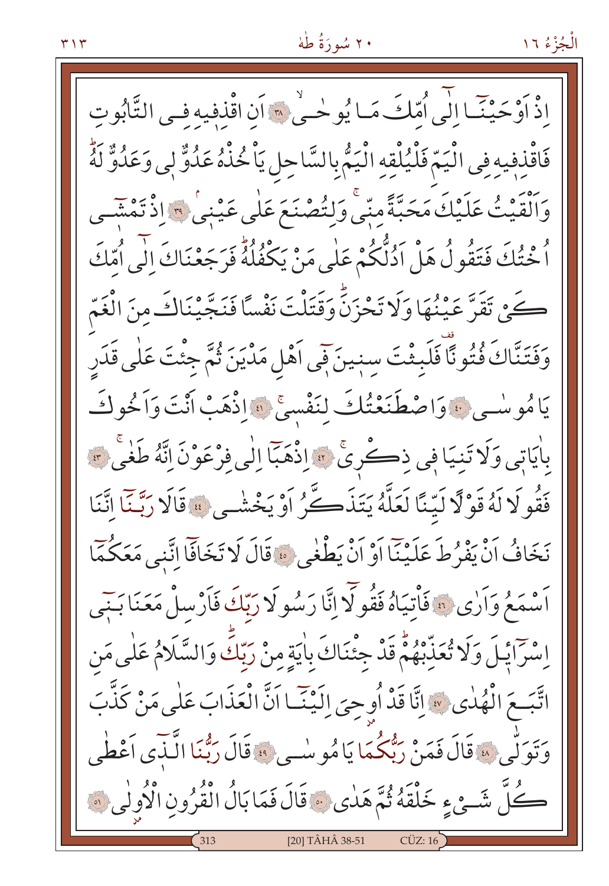اذْ أَوْحَيْنَـا الْمِي اُمّلتَ مَـا يُوحْـى \* أَن اقْذفيه فـى التَّابُوتِ فَاقْذِفِيهِ فِي الْيَمّ فَلْيُلْقِهِ الْيَمُّ بِالسَّاحِلِ يَاْ خُذْهُ عَدُوٌّ لِي وَعَدُوٌّ لَهُ وَٱلْقَيْتُ عَلَيْكَ مَحَبَّةً مِنِّي وَلِنُصْنَعَ عَلَى عَيْنِي ۚ وَٱلْقَيْتُ مِنْتَسِي اُ خْتُكَ فَتَقُولُ هَلْ اَدُلُّكُمْ عَلَى مَنْ يَكْفُلُهُ فَرَجَعْنَاكَ اِلَى اُمِّكَ كَيْنِ تَقَرَّ عَيْنُهَا وَلَا تَحْزَنَّ وَقَتَلْتَ نَفْساً فَنَجَّيْنَاكَ مِنَ الْغَمّ وَفَتَنَّاكَ فُتُونًا فَلَبِثْتَ سِنِينَ فَي اَهْلِ مَدْيَنَ ثُمَّ جِئْتَ عَلٰى قَدَرِ يَامُوسْي بْهِ وَاصْطَنَعْتُكَ لِنَفْسِيٌّ ﴾ اذْهَبْ أَنْتَ وَاَخُوكَ بِاٰيَاتِي وَلَا تَنِيَا فِي ذِكْرِيٌّ ﴾ إِذْهَبَا إِلَى فِرْعَوْنَ إِنَّهُ طَغْيَ ﴾ فَقُو لَا لَهُ قَوْ لَّا لَيِّنَّا لَعَلَّهُ يَتَذَكَّرُ أَوْ يَخْشُى \* قَالَا رَبَّنَّا إِنَّنَا نَخَافُ أَنْ يَفْرُطَ عَلَيْنَا أَوْ أَنْْ يَطْغَى ﴾ قَالَ لَا تَخَافَا إِنَّنِي مَعَكُمَا اَسْمَعُ وَاَرٰى ۞ فَأْتِيَاهُ فَقُولَا إِنَّا رَسُولَا رَبِّكَ فَاَرْسِلْ مَعَنَا بَنِي اِسْرَايْلَ وَلَا تُعَذِّبْهُمْ قَدْ جِئْنَاكَ بِاٰيَةٍ مِنْ رَبِّكَ وَالسَّلَامُ عَلَٰى مَن اتَّبَعَ الْهُدٰى ۞ إِنَّا قَدْ أُوحِيَ إِلَيْنَـا اَنَّ الْعَذَابَ عَلَى مَنْ كَذَّبَ وَتَوَلَّى » قَالَ فَمَنْ رَبّْكُمَا يَامُو سُبِي » قَالَ رَبُّنَا الَّنَّدَى أَعْطُى كُلَّ شَئْءٍ خَلْقَهُ ثُمَّ هَدٰى ﴾ قَالَ فَمَا بَالُ الْقُرُونِ الْأُولٰى ﴾ [20] TÂHÂ 38-51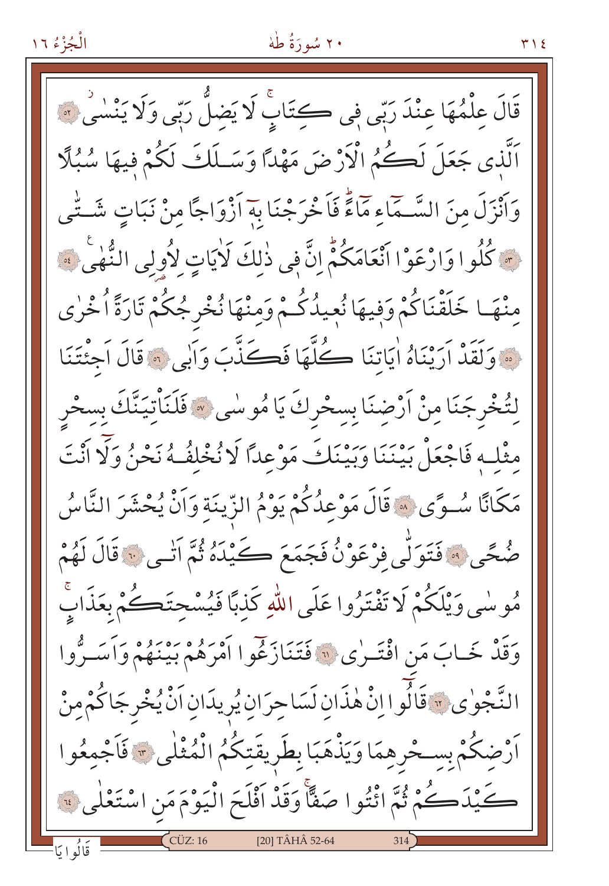# ۲۰ سُورَةُ طُهْ

قَالَ عِلْمُهَا عِنْدَ رَبِّي فِي ڪِتَابِ لَا يَضلُّ رَبِّي وَلَا يَنْسَى \*\* اَلَّذِي جَعَلَ لَكُمُ الْأَرْضَ مَهْدًا وَسَـلَكَ لَكُمْ فِيهَا سُبُلًا وَأَنْزَلَ منَ السَّـمَاءِ مَاءً فَاَخْرَجْنَا بِهَ أَزْوَاجًا مِنْ نَبَاتٍ شَـتَّـى مَّةٍ كُلُوا وَارْعَوْا أَنْعَامَكُمُّ إِنَّ فِي ذٰلكَ لَايَاتٍ لأُولِي النُّهْيِ \* \* منْهَا خَلَقْنَاكُمْ وَفِيهَا نُعِيدُكُمْ وَمِنْهَا نُخْرِجُكُمْ تَارَةً أُخْرٰى · وَلَقَدْ أَرَيْنَاهُ اٰيَاتِنَا كُلَّهَا فَكَنَّبَ وَأَبِي ۞ قَالَ أَجِئْتَنَا لِتُخْرِجَنَا مِنْ أَرْضِنَا بِسِحْرِكَ يَا مُوسٰى ۞ فَلَنَأْتِيَنَّكَ بِسخْرِ مِثْلِهِ فَاجْعَلْ بَيْنَنَا وَبَيْنَكَ مَوْعِدًا لَا نُخْلِفُهُ نَحْنُ وَلَا أَنْتَ مَكَانًا سُوًى ﴾ قَالَ مَوْعِدُكُمْ يَوْمُ الزِّينَة وَالْنُ يُحْشَرَ النَّاسُ صُحًى ﴾ فَتَوَلَّى فَرْعَوْنُ فَجَمَعَ كَيْدَهُ ثُمَّ أنْسَى ﴾ قَالَ لَهُمْ مُو سٰي وَيْلَكُمْ لَا تَفْتَرُوا عَلَى اللّهِ كَذبًا فَيُسْحِتَڪُمْ بِعَذَابٍّ وَقَدْ خَـابَ مَنِ افْتَـرٰى " فَتَنَازَعُوا أَمْرِهُمْ بِينَهُمْ وَأَسَـرُّوا النَّجْوٰى ۞ قَالُوا اِنْ هٰذَان لَسَاحِرَانِ يُرِيدَانِ اَنْْ يُخْرِجَاكُمْ مِنْ أَرْضِكُمْ بِسِحْرِهِمَا وَيَذْهَبَا بِطَرِيقَتِكُمُ الْمُثْلَى \* فَأَجْمِعُوا كَيْدَكُمْ ثُمَّ ائْتُوا صَفًّا وَقَدْ اَفْلَحَ الْيَوْمَ مَنِ اسْتَعْلَى فَ [20] TÂHÂ 52-64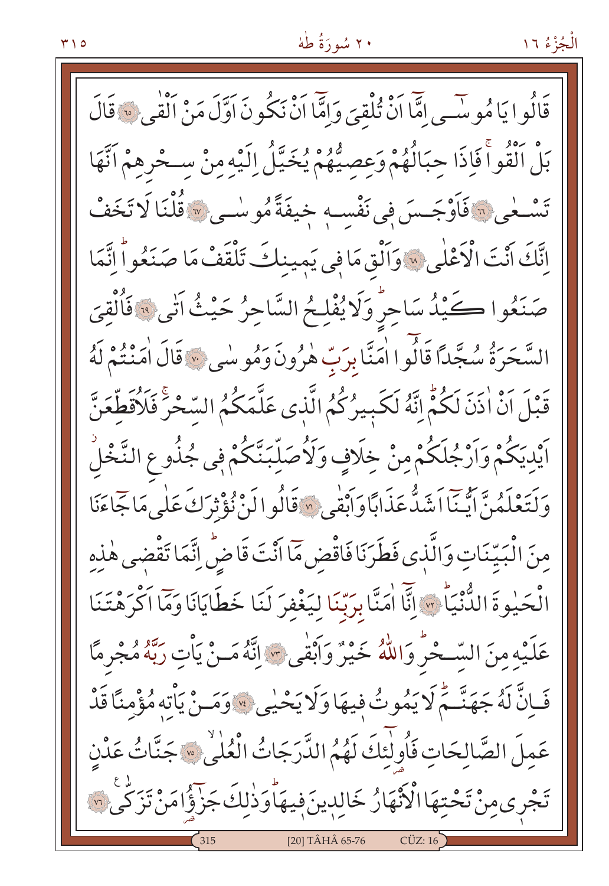# ۲۰ سُورَةُ طُهْ

قَالُو إِيَامُو سِّي اتَّمَا أَنْ تُلْقِيَ وَامَّا أَنْ نَكُونَ أَوَّلَ مَنْ أَلْقَى \* قَالَ بَلْ الْقُواْ فَإِذَا حِبَالُهُمْ وَعِصِيُّهُمْ يُخَيِّلُ إِلَيْهِ مِنْ سِحْرِهِمْ اَنَّهَا تَسْمَٰى ۚ فَاَوْجَسَ فِي نَفْسِهِ خِيفَةً مُوسٰى \* قُلْنَا لَا تَخَفْ إِنَّكَ أَنْتَ الْكَعْلَى لِهَ وَأَلْقِ مَا فِي يَمِينِكَ تَلْقَفْ مَا صَنَعُواْ إِنَّمَا صَنَعُوا ڪَيْدُ سَاحِرٌ وَلَا يُفْلِحُ السَّاحِرُ حَيْثُ اَنِّي ۞ فَأُلْقِيَ السَّحَرَةُ سُجَّدًا قَالُوا اٰمَنَّا بِرَبِّ هٰرُونَ وَمُوسٰى ﴾ قَالَ اٰمَنْتُمْ لَهُ قَبْلَ اَنْ اذَنَ لَكُمْ إِنَّهُ لَكَبِيرُكُمُ الَّذِي عَلَّمَكُمُ السّخْرِ فَلَاُقَطِّعَنَّ اَيْدِيَكُمْ وَاَرْجُلَكُمْ مِنْ خِلَافٍ وَلَأُصَلِّبَنَّكُمْ فِي جُذُو عِ النَّخْلُ وَكَتَعْلَمُنَّ أَيَّنَااَشَدُّعَذَابَاَوَاَبْقَى «قَالُوالَنْ نُؤْثِرَكَ عَلَى مَاتِحَاءَنَا مِنَ الْبَيِّنَاتِ وَالَّذِي فَطَرَنَا فَاقْضِ مَّا أَنْتَ قَاضِّ إِنَّمَا تَقْضِي هٰذِهِ الْحَيْوةَ الدُّنْيَاِّ \* إِنَّا اٰمَنَّا بِرَبِّنَا لِيَغْفِرَ لَنَا خَطَايَانَا وَمَّا اَكْرَهْتَنَا عَلَيْهِ مِنَ السَّحْرُ وَاللَّهُ خَيْرٌ وَأَبْقَى \* إِنَّهُ مَـنْ يَأْتِ رَبَّهُ مُجْرِمًا فَإِنَّ لَهُ جَهَنَّمْ لَا يَمُوتُ فِيهَا وَلَا يَحْيِي ﴾ وَمَسْ يَأْتِهِ مُؤْمِنًا قَدْ عَملَ الصَّالحَاتِ فَأُولَٰئَكَ لَهُمُ الدَّرَجَاتُ الْعُلْيُ \* جَنَّاتُ عَدْنِ تَجْرِى مِنْ تَحْتِهَا الْأَنْهَارُ خَالِدِينَ فِيهَاْ وَذٰلِكَ جَزْؤُا مَنْ تَزَكَّىٰ ۞ [20] TÂHÂ 65-76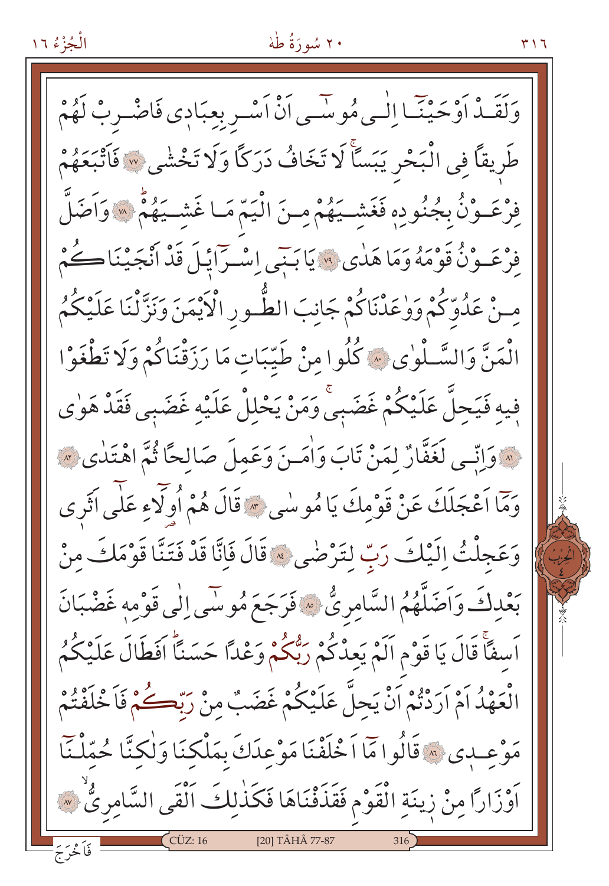### ۲۰ سُورَةُ طُهْ

وَلَقَـٰدْ اَوْحَيْنَـٗـا اِلْـٰـى مُوسَّــى اَنْ اَسْــر بِعِبَادِي فَاضْــربْ لَهُمْ طَريقاً فِي الْبَحْرِ يَبَسَّأَ لَا تَخَافُ دَرَكاً وَلَا تَخْشٰى ِ~ فَأَتْبَعَهُمْ فِرْعَـوْنُ بِجُنُورِهِ فَغَشْـيَهُمْ مِنَ الْيَمّ مَـا غَشْـيَهُمْ ۞ وَاَضَلَّ فِرْعَـوْنُ قَوْمَهُ وَمَا هَدٰى ۞ يَابَنِي إِسْـرَايْـلَ قَدْ أَنْجَيْنَا كُمْ مِنْ عَلُوِّكُمْ وَوْعَلْنَاكُمْ جَانِبَ الطُّـورِ الْأَيْمَنَ وَنَزَّلْنَا عَلَيْكُمُ الْمَنَّ وَالسَّلْوٰى ﴾ كُلُوا مِنْ طَيِّبَاتٍ مَا رَزَقْنَاكُمْ وَلَا تَطْغَوْا فِيهِ فَيَحِلَّ عَلَيْكُمْ غَضَبِيَّ وَمَنْ يَحْلِلْ عَلَيْهِ غَضَبِي فَقَدْ هَوٰي (» وَإِنِّمِي لَغَفَّارٌ لِمَنْ تَابَ وَأَمَـنَ وَعَمِلَ صَالِحًا ثُمَّ اهْتَدٰى » وَمَّا اَعْجَلَكَ عَنْ قَوْمِكَ يَا مُوسٰى \* قَالَ هُمْ أُولَّاءِ عَلَى اَثَرِي وَعَجِلْتُ إِلَيْكَ رَبِّ لِتَرْضَى \* قَالَ فَإِنَّا قَدْ فَتَنَّا قَوْمَكَ مِنْ بَعْدِكَ وَأَصَلَّهُمُ السَّامِرِيُّ \* فَرَجَعَ مُوسَى اِلْي قَوْمِهِ غَضْبَانَ اَسفَاَّ قَالَ يَا قَوْمِ اَلَمْ يَعِدْكُمْ رَبُّكُمْ وَعْدًا حَسَنًا افَطَالَ عَلَيْكُمُ الْعَهْدُ أَمْ أَرَدْتُمْ أَنْ يَحِلُّ عَلَيْكُمْ غَضَبٌ مِنْ رَبِّكُمْ فَأَخْلَفْتُمْ مَوْعِبِدِي ۞ قَالُوا مَمَّا أَخْلَفْنَا مَوْعِدَكَ بِمَلْكِنَا وَلٰكِنَّا حُمِّلْنَآ اَوْزَارًا مِنْ زِينَةِ الْقَوْمِ فَقَذَفْنَاهَا فَكَذٰلِكَ الْقَى السَّامِرِيُّ ۞ [20] TÂHÂ 77-87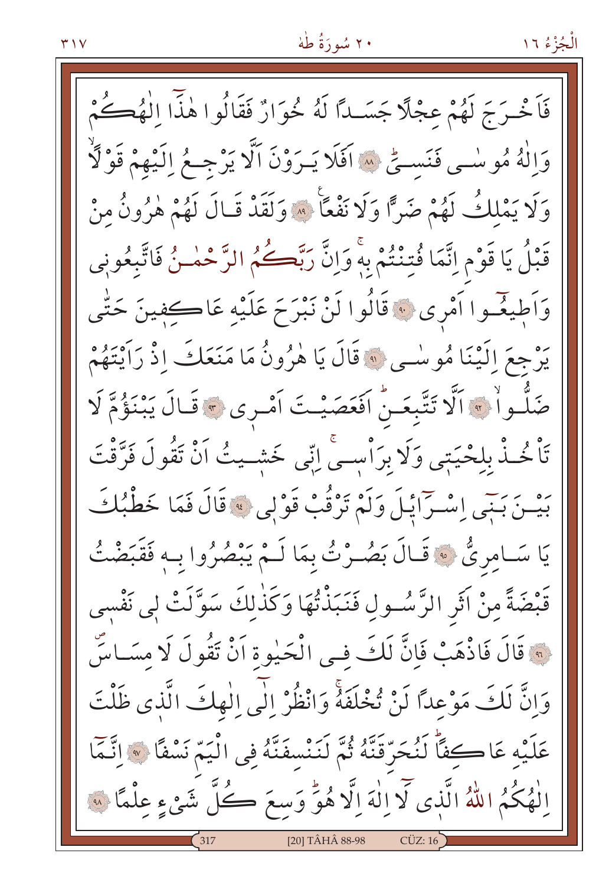فَأَخْرَجَ لَهُمْ عِجْلًا جَسَــٰدًا لَهُ خُوَارٌ فَقَالُوا هٰذًّا الْهُڪُمْ وَاللَّهُ مُوسْمِي فَنَسِيٌّ ۞ اَفَلَا يَـرَوْنَ اَلَّا يَرْجِـعُ اِلَّيْهِمْ قَوْلَاًّ وَلَا يَمْلِكُ لَهُمْ ضَرًّا وَلَا نَفْعًا \* وَلَقَدْ قَـالَ لَهُمْ هٰرُونُ مِنْ قَبْلُ يَا قَوْمِ اِنَّمَا فُتِنْتُمْ بِهِ وَاِنَّ رَبَّكُمُ الرَّحْمٰئُ فَاتَّبِعُونِي وَاَطِيغٌـوا اَمْرِي ۚ قَالُوا لَنْ نَبْرَحَ عَلَيْهِ عَاڪفِينَ حَتّٰى يَرْجِعَ اِلَيْنَا مُوسْى ﴾ قَالَ يَا هٰزُونُ مَا مَنَعَكَ اذْ رَأَيْتَهُمْ ضَلُّواْ \* اَلَّا تَتَّبِعَـنُّ اَفَعَصَيْـتَ اَمْـرِي \* قَـالَ يَبْنَؤُمَّ لَا تَأْخُذْ بِلِحْيَتِي وَلَا بِرَأْسِيِّ إِنِّي خَشِيتُ أَنْ تَقُولَ فَرَّقْتَ بَيْسَ بَنِيَى إِسْتِرَايْلَ وَلَمْ تَرْقُبْ قَوْلِي ۞ قَالَ فَمَا خَطْبُكَ يَا سَـامِرِيٌّ ﴾ قَـالَ بَصُـرْتُ بِمَا لَـمْ يَبْصُرُوا بِـهِ فَقَبَضْتُ قَبْضَةً مِنْ آثَرِ الرَّسُـولِ فَنَبَذْتُهَا وَكَذٰلِكَ سَوَّلَتْ لِي نَفْسي لَّهَ قَالَ فَاذْهَبْ فَإِنَّ لَكَ فـى الْحَيْوةِ أَنْ تَقُولَ لَا مِسَـاسٌ وَإِنَّ لَكَ مَوْعِدًا لَنْ تُخْلَفَهُ وَانْظُرْ إِلَى الْهِكَ الَّذِي ظَلْتَ عَلَيْهِ عَاكِفًا لَنُحَرِّقَنَّهُ ثُمَّ لَنَنْسِفَنَّهُ فِي الْيَمّ نَسْفًا ۞ اِنَّمَا الْهُكُمُ اللَّهُ الَّذِى لَا إِلٰهَ إِلَّا هُوٌّ وَسِعَ كُلَّ شَيْءٍ عِلْمًا لِهِ [20] TÂHÂ 88-98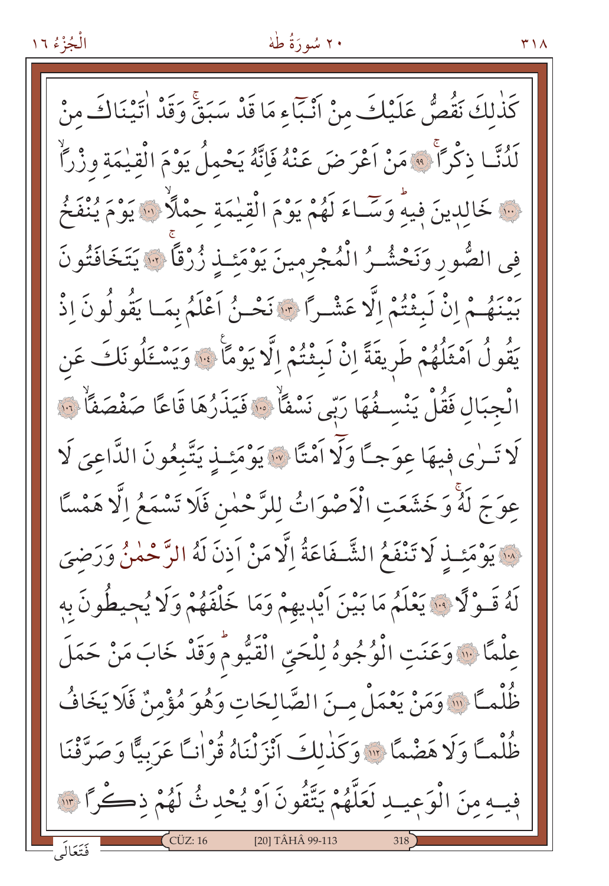# ۲۰ سُورَةُ طُهْ

كَذٰلكَ نَقُصُّ عَلَيْكَ مِنْ أَنْبَاءِ مَا قَدْ سَبَقَ وَقَدْ اٰتِيْنَاكَ مِنْ لَدُنَّــا ذكْرًا ۚ • مَنْ اَعْرَضَ عَنْهُ فَإِنَّهُ يَحْمِلُ يَوْمَ الْقِيٰمَةِ وزْرًاْ فِينَ خَالِدِينَ فِيهِ وَسَّاءَ لَهُمْ يَوْمَ الْقِيْمَةِ حِمْلًا ۚ ﴾ يَوْمَ يُنْفَخُ فِي الصُّورِ وَنَحْشُـرُ الْمُجْرِمِينَ يَوْمَئِـذٍ زُرْقاً ۞ يَتَخَافَتُونَ بَيْنَهُمْ إِنْ لَبِثْتُمْ إِلَّا عَشْـرًا \* نَحْـنُ اَعْلَمُ بِمَـا يَقُولُونَ إِذْ يَقُولُ اَمْثَلُهُمْ طَرِيقَةً إِنْ لَبِثْتُمْ إِلَّا يَوْمًا ۚ وَيَسْئَلُونَكَ عَن الْجِبَالِ فَقُلْ يَنْسِـفُهَا رَبِّي نَسْفًا ۚ ﴿ فَيَذَرُهَا قَاعًا صَفْصَفًاْ ﴾ لَا تَـرٰى فِيهَا عِوَجاً وَلَا أَمْتًا \* يَوْمَئِـذِ يَتَّبِعُونَ الدَّاعِيَ لَا عِوَجَ لَهُ وَخَشَعَتِ الْأَصْوَاتُ لِلرَّحْمٰنِ فَلَا تَسْمَعُ اِلَّا هَمْسًا \* يَوْمَئِـذٍ لَا تَنْفَعُ الشَّـفَاعَةُ إِلَّا مَنْ اَذنَ لَهُ الرَّحْمٰنُ وَرَضِيَ لَهُ قَـوْلًا ۚ يَعْلَمُ مَا بَيْنَ اَيْدِيهِمْ وَمَا خَلْفَهُمْ وَلَا يُحِيطُونَ بِهِ عِلْمًا ۚ وَعَنَتِ الْوُجُوهُ لِلْحَيِّ الْقَيُّومُ وَقَدْ خَابَ مَنْ حَمَلَ ظُلْمـًا ۚ وَمَنْ يَعْمَلْ مـنَ الصَّالِحَاتِ وَهُوَ مُؤْمِنٌ فَلَا يَخَافُ ظُلْمـًا وَلَا هَضْمًا \* وَكَذٰلكَ أَنْزَلْنَاهُ قُرْانـًا عَرَبِيًّا وَصَرَّفْنَا فِيهِ مِنَ الْوَعِيبِ لَعَلَّهُمْ يَتَّقُونَ أَوْ يُحْدِثُ لَهُمْ ذِكْرًا ۚ ۚ " [20] TÂHÂ 99-113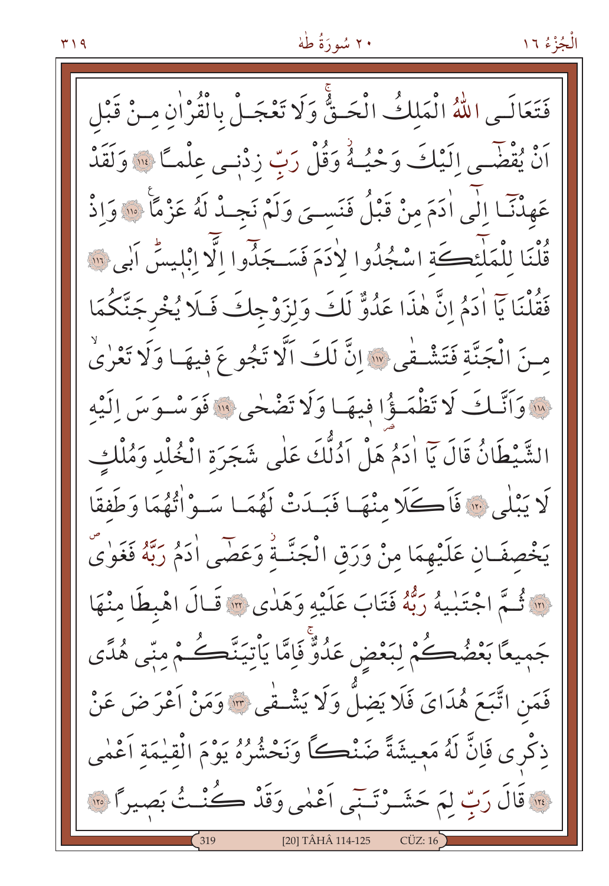فَتَعَالَـمِ اللَّهُ الْمَلكُ الْحَـقٌّ وَلَا تَعْجَـلْ بِالْقُرْاٰنِ مِـنْ قَبْل رَّهُ يُقْضَى إِلَيْكَ وَحْيُـهُ وَقُلْ رَبِّ زِدْنِـى عِلْمَـَّا ۚ ۚ وَلَقَدْ عَهِدْنَا الَّى اٰدَمَ منْ قَبْلُ فَنَسـىَ وَلَمْ نَجِـدْ لَهُ عَزْمًا ۚ وَاِذْ قُلْنَا لِلْمَلْئِكَةِ اسْجُدُوا لِأَدَمَ فَسَجَدُوا الَّا ابْلِيسُ اَبِي ٱللَّهَ فَقُلْنَا يَآ اٰدَمُ انَّ هٰذَا عَدُوٌّ لَكَ وَلزَوْجِكَ فَلَا يُخْرِجَنَّكُمَا منَ الْجَنَّةِ فَتَشْفَى إِلاَّ لَكَ الَّا تَجُوعَ فِيهَا وَلَا تَعْرٰى لِلَّهِ وَأَنَّبَكَ لَا تَظْمَؤُا فِيهَا وَلَا تَضْخِي لِلَّهِ فَوَسْبِوَسَ إِلَيْهِ الشَّيْطَانُ قَالَ يَآ اٰدَمُ هَلْ اَدُلُّكَ عَلٰى شَجَرَة الْخُلْد وَمُلْكِ لَا يَبْلَى \* فَأَكَّلَا مِنْهَا فَبَـدَتْ لَهُمَـا سَـوْاْتُهُمَا وَطَفقًا يَخْصِفَانِ عَلَيْهِمَا مِنْ وَرَقِ الْجَنَّـةِ وَعَصَى ادْمُ رَبَّهُ فَغَوٰىٌ فِيَّةِ اجْتَنِيهُ رَبُّهُ فَتَابَ عَلَيْهِ وَهَدٰى ۞ قَـالَ اهْبِطَا مِنْهَا جَمِيعًا بَعْضُكُمْ لِبَعْضِ عَدُوٌّ فَإِمَّا يَأْتِيَنَّكُمْ مِنِّي هُدًى فَمَنِ اتَّبَعَ هُدَايَ فَلَا يَضلُّ وَلَا يَشْـفْي ۞ وَمَنْ أَعْرَضَ عَنْ ذِكْرِي فَإِنَّ لَهُ مَعِيشَةً ضَنْكُ وَنَحْشُرُهُ يَوْمَ الْقِيْمَةِ أَعْمٰى · قَالَ رَبِّ لِمَ حَشَـرْتَـنِّي أَعْمٰى وَقَدْ كُنْـثُ بَصِيراً ۞ [20] TÂHÂ 114-125